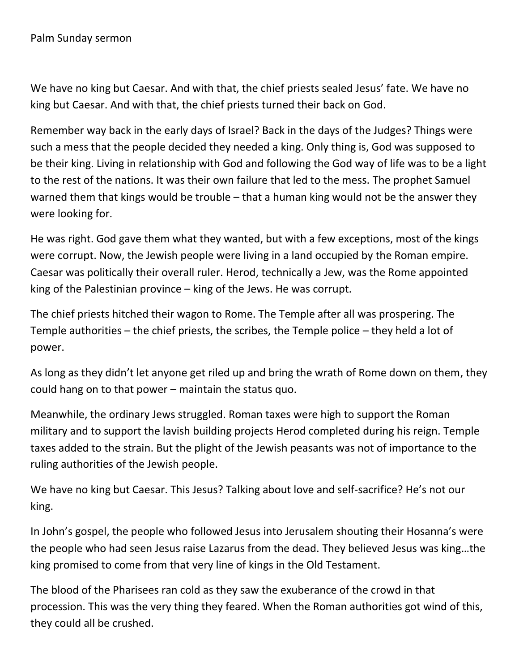We have no king but Caesar. And with that, the chief priests sealed Jesus' fate. We have no king but Caesar. And with that, the chief priests turned their back on God.

Remember way back in the early days of Israel? Back in the days of the Judges? Things were such a mess that the people decided they needed a king. Only thing is, God was supposed to be their king. Living in relationship with God and following the God way of life was to be a light to the rest of the nations. It was their own failure that led to the mess. The prophet Samuel warned them that kings would be trouble – that a human king would not be the answer they were looking for.

He was right. God gave them what they wanted, but with a few exceptions, most of the kings were corrupt. Now, the Jewish people were living in a land occupied by the Roman empire. Caesar was politically their overall ruler. Herod, technically a Jew, was the Rome appointed king of the Palestinian province – king of the Jews. He was corrupt.

The chief priests hitched their wagon to Rome. The Temple after all was prospering. The Temple authorities – the chief priests, the scribes, the Temple police – they held a lot of power.

As long as they didn't let anyone get riled up and bring the wrath of Rome down on them, they could hang on to that power – maintain the status quo.

Meanwhile, the ordinary Jews struggled. Roman taxes were high to support the Roman military and to support the lavish building projects Herod completed during his reign. Temple taxes added to the strain. But the plight of the Jewish peasants was not of importance to the ruling authorities of the Jewish people.

We have no king but Caesar. This Jesus? Talking about love and self-sacrifice? He's not our king.

In John's gospel, the people who followed Jesus into Jerusalem shouting their Hosanna's were the people who had seen Jesus raise Lazarus from the dead. They believed Jesus was king…the king promised to come from that very line of kings in the Old Testament.

The blood of the Pharisees ran cold as they saw the exuberance of the crowd in that procession. This was the very thing they feared. When the Roman authorities got wind of this, they could all be crushed.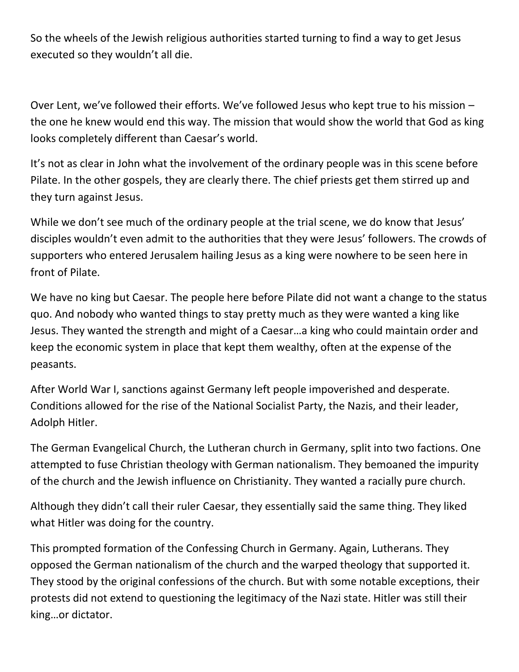So the wheels of the Jewish religious authorities started turning to find a way to get Jesus executed so they wouldn't all die.

Over Lent, we've followed their efforts. We've followed Jesus who kept true to his mission – the one he knew would end this way. The mission that would show the world that God as king looks completely different than Caesar's world.

It's not as clear in John what the involvement of the ordinary people was in this scene before Pilate. In the other gospels, they are clearly there. The chief priests get them stirred up and they turn against Jesus.

While we don't see much of the ordinary people at the trial scene, we do know that Jesus' disciples wouldn't even admit to the authorities that they were Jesus' followers. The crowds of supporters who entered Jerusalem hailing Jesus as a king were nowhere to be seen here in front of Pilate.

We have no king but Caesar. The people here before Pilate did not want a change to the status quo. And nobody who wanted things to stay pretty much as they were wanted a king like Jesus. They wanted the strength and might of a Caesar…a king who could maintain order and keep the economic system in place that kept them wealthy, often at the expense of the peasants.

After World War I, sanctions against Germany left people impoverished and desperate. Conditions allowed for the rise of the National Socialist Party, the Nazis, and their leader, Adolph Hitler.

The German Evangelical Church, the Lutheran church in Germany, split into two factions. One attempted to fuse Christian theology with German nationalism. They bemoaned the impurity of the church and the Jewish influence on Christianity. They wanted a racially pure church.

Although they didn't call their ruler Caesar, they essentially said the same thing. They liked what Hitler was doing for the country.

This prompted formation of the Confessing Church in Germany. Again, Lutherans. They opposed the German nationalism of the church and the warped theology that supported it. They stood by the original confessions of the church. But with some notable exceptions, their protests did not extend to questioning the legitimacy of the Nazi state. Hitler was still their king…or dictator.